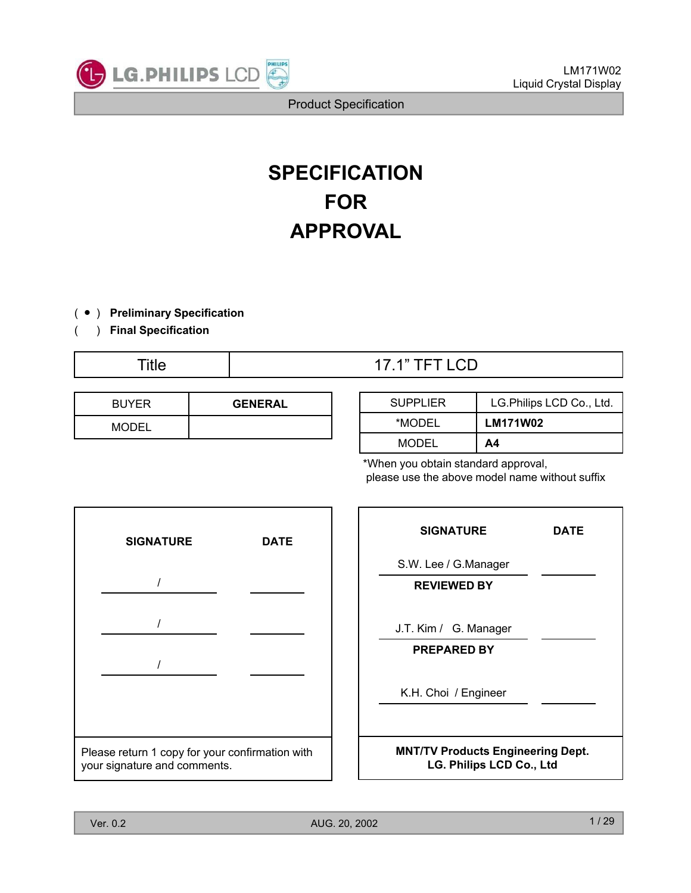

# **SPECIFICATION FOR APPROVAL**

- ( Ⴠ ) **Preliminary Specification**
- ( ) **Final Specification**

| <b>BUYER</b> | <b>GENERAL</b> |
|--------------|----------------|
| <b>MODEL</b> |                |

| Title | <b>17.1" TFT LCD</b> |
|-------|----------------------|
|       |                      |

| <b>SUPPLIER</b> | LG.Philips LCD Co., Ltd. |
|-----------------|--------------------------|
| *MODEL          | <b>LM171W02</b>          |
| MODEL           | Α4                       |

\*When you obtain standard approval, please use the above model name without suffix



| <b>SIGNATURE</b>                                                     | <b>DATE</b> |
|----------------------------------------------------------------------|-------------|
| S.W. Lee / G.Manager                                                 |             |
| <b>REVIEWED BY</b>                                                   |             |
| J.T. Kim / G. Manager                                                |             |
| <b>PREPARED BY</b>                                                   |             |
| K.H. Choi / Engineer                                                 |             |
| <b>MNT/TV Products Engineering Dept.</b><br>LG. Philips LCD Co., Ltd |             |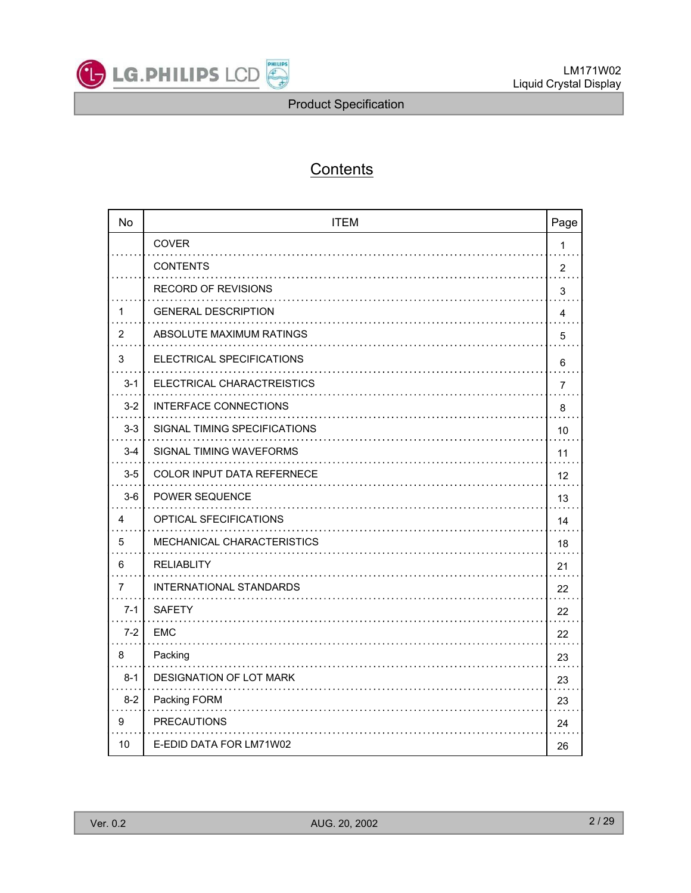

# **Contents**

| <b>No</b>      | <b>ITEM</b>                       | Page           |
|----------------|-----------------------------------|----------------|
|                | <b>COVER</b>                      | 1              |
|                | <b>CONTENTS</b>                   | 2              |
|                | RECORD OF REVISIONS               | 3              |
| 1              | <b>GENERAL DESCRIPTION</b>        | 4              |
| $\overline{2}$ | ABSOLUTE MAXIMUM RATINGS          | 5              |
| 3              | ELECTRICAL SPECIFICATIONS         | 6              |
| $3 - 1$        | ELECTRICAL CHARACTREISTICS        | $\overline{7}$ |
| $3-2$          | INTERFACE CONNECTIONS             | 8              |
| $3-3$          | SIGNAL TIMING SPECIFICATIONS      | 10             |
| $3 - 4$        | SIGNAL TIMING WAVEFORMS           | 11             |
| $3-5$          | <b>COLOR INPUT DATA REFERNECE</b> | 12             |
| $3-6$          | <b>POWER SEQUENCE</b>             | 13             |
| 4              | <b>OPTICAL SFECIFICATIONS</b>     | 14             |
| 5              | MECHANICAL CHARACTERISTICS        | 18             |
| 6              | <b>RELIABLITY</b>                 | 21             |
| 7              | INTERNATIONAL STANDARDS           | 22             |
| $7-1$          | <b>SAFETY</b>                     | 22             |
| $7-2$          | EMC                               | 22             |
| 8              | Packing                           | 23             |
| $8 - 1$        | DESIGNATION OF LOT MARK           | 23             |
| $8 - 2$        | Packing FORM                      | 23             |
| 9              | <b>PRECAUTIONS</b>                | 24             |
| 10             | E-EDID DATA FOR LM71W02           | 26             |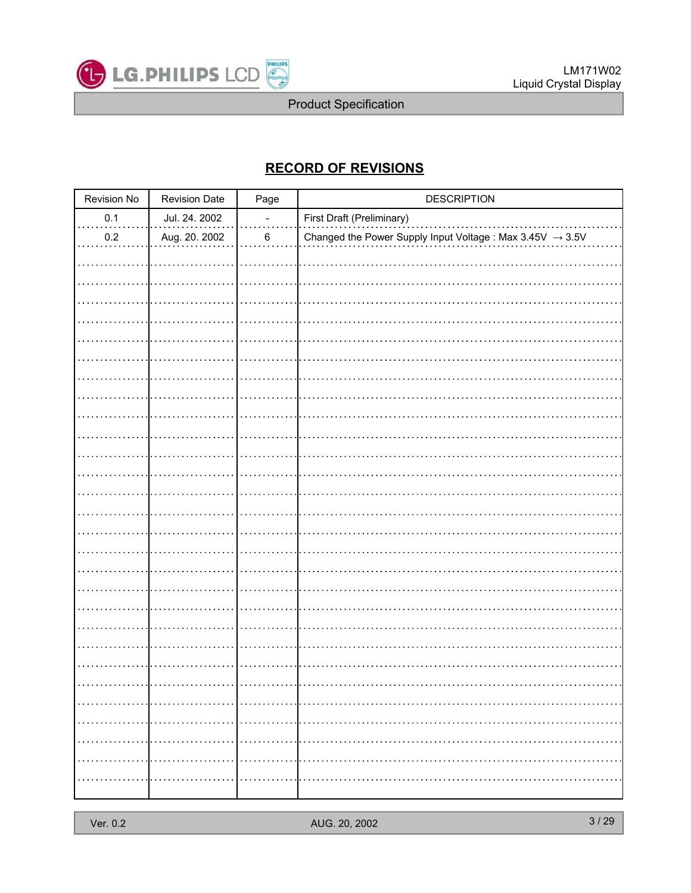

# **RECORD OF REVISIONS**

| Revision No | <b>Revision Date</b> | Page                     | <b>DESCRIPTION</b>                                                    |
|-------------|----------------------|--------------------------|-----------------------------------------------------------------------|
| 0.1         | Jul. 24. 2002        | $\overline{\phantom{0}}$ | First Draft (Preliminary)                                             |
| $0.2\,$     | Aug. 20. 2002        | $\,6\,$                  | Changed the Power Supply Input Voltage : Max $3.45V \rightarrow 3.5V$ |
|             |                      |                          |                                                                       |
|             |                      |                          |                                                                       |
|             |                      |                          |                                                                       |
|             |                      |                          |                                                                       |
|             |                      |                          |                                                                       |
|             |                      |                          |                                                                       |
|             |                      |                          |                                                                       |
|             |                      |                          |                                                                       |
|             |                      |                          |                                                                       |
|             |                      |                          |                                                                       |
|             |                      |                          |                                                                       |
|             |                      |                          |                                                                       |
|             |                      |                          |                                                                       |
|             |                      |                          |                                                                       |
|             |                      |                          |                                                                       |
|             |                      |                          |                                                                       |
|             |                      |                          |                                                                       |
|             |                      |                          |                                                                       |
|             |                      |                          |                                                                       |
|             |                      |                          |                                                                       |
|             |                      |                          |                                                                       |
|             |                      |                          |                                                                       |
|             |                      |                          |                                                                       |
|             |                      |                          |                                                                       |
|             |                      |                          |                                                                       |
|             |                      |                          |                                                                       |
|             |                      |                          |                                                                       |
|             |                      |                          |                                                                       |
|             |                      |                          |                                                                       |
|             |                      |                          |                                                                       |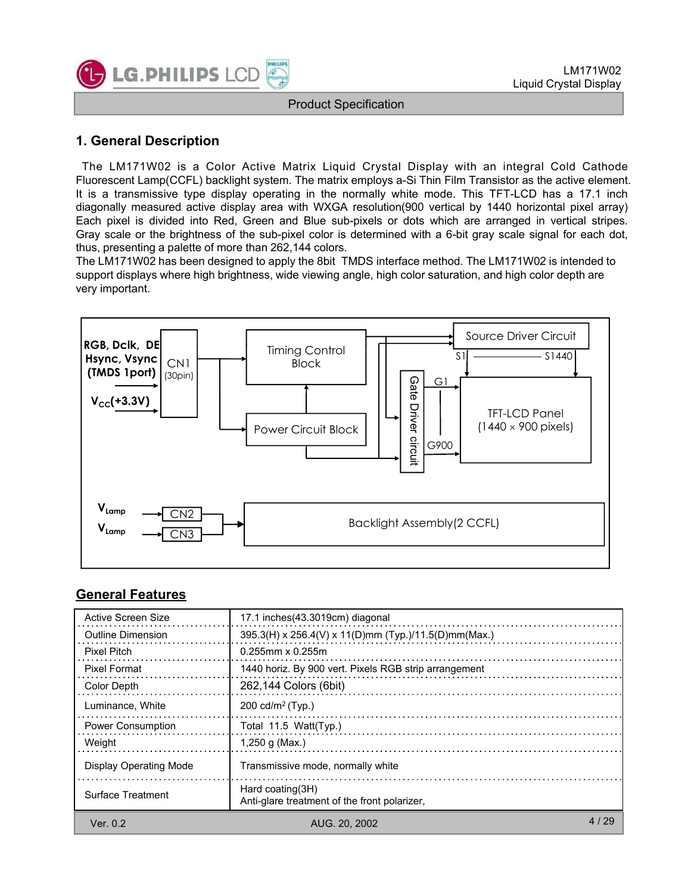

### **1 General Description 1. General**

The LM171W02 is a Color Active Matrix Liquid Crystal Display with an integral Cold Cathode Fluorescent Lamp(CCFL) backlight system. The matrix employs a-Si Thin Film Transistor as the active element. It is a transmissive type display operating in the normally white mode. This TFT-LCD has a 17.1 inch diagonally measured active display area with WXGA resolution(900 vertical by 1440 horizontal pixel array) Each pixel is divided into Red, Green and Blue sub-pixels or dots which are arranged in vertical stripes. Gray scale or the brightness of the sub-pixel color is determined with a 6-bit gray scale signal for each dot, thus, presenting a palette of more than 262,144 colors.

The LM171W02 has been designed to apply the 8bit TMDS interface method. The LM171W02 is intended to support displays where high brightness, wide viewing angle, high color saturation, and high color depth are very important.



#### **General Features**

| Active Screen Size            | 17.1 inches (43.3019cm) diagonal                                    |        |
|-------------------------------|---------------------------------------------------------------------|--------|
| Outline Dimension             | 395.3(H) x 256.4(V) x 11(D)mm (Typ.)/11.5(D)mm(Max.)                |        |
| <b>Pixel Pitch</b>            | $0.255$ mm x $0.255$ m                                              |        |
| <b>Pixel Format</b>           | 1440 horiz. By 900 vert. Pixels RGB strip arrangement               |        |
| Color Depth                   | 262,144 Colors (6bit)                                               |        |
| Luminance, White              | 200 cd/m <sup>2</sup> (Typ.)                                        |        |
| <b>Power Consumption</b>      | Total 11.5 Watt(Typ.)                                               |        |
| Weight                        | 1,250 g (Max.)                                                      |        |
| <b>Display Operating Mode</b> | Transmissive mode, normally white                                   |        |
| Surface Treatment             | Hard coating $(3H)$<br>Anti-glare treatment of the front polarizer. |        |
| Ver. 0.2                      | AUG. 20, 2002                                                       | 4 / 29 |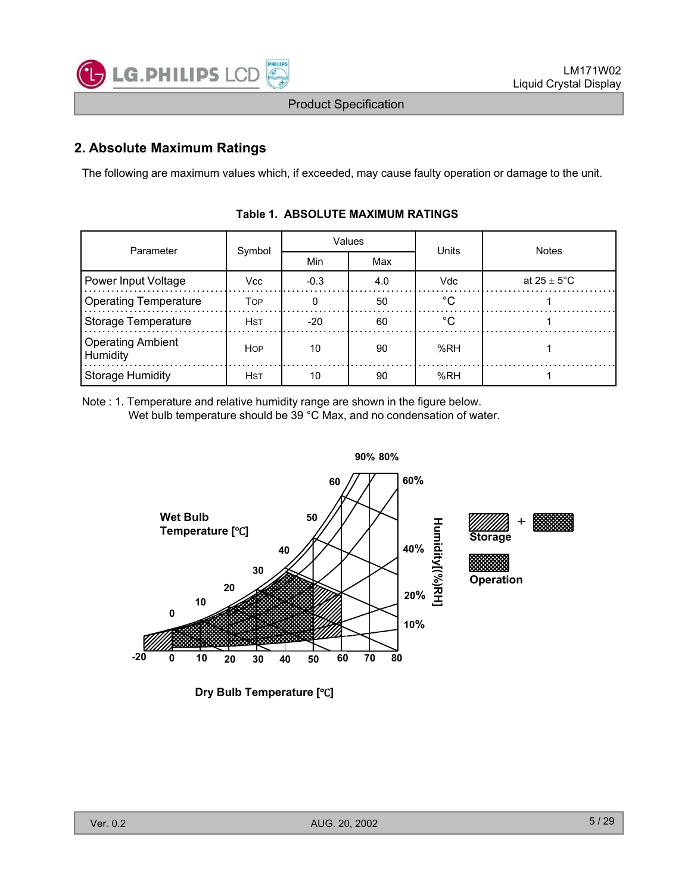

# **2. Absolute Maximum Ratings**

The following are maximum values which, if exceeded, may cause faulty operation or damage to the unit.

| Parameter                     | Symbol     |        | Values | Units   | <b>Notes</b>            |
|-------------------------------|------------|--------|--------|---------|-------------------------|
|                               |            | Min    | Max    |         |                         |
| Power Input Voltage           | Vcc        | $-0.3$ | 4.0    | Vdc     | at $25 \pm 5^{\circ}$ C |
| <b>Operating Temperature</b>  | <b>TOP</b> |        | 50     | $\circ$ |                         |
| <b>Storage Temperature</b>    | <b>HST</b> | $-20$  | 60     | °∩      |                         |
| Operating Ambient<br>Humidity | <b>HOP</b> | 10     | 90     | %RH     |                         |
| <b>Storage Humidity</b>       | <b>HST</b> | 10     | 90     | %RH     |                         |

#### **Table 1. ABSOLUTE MAXIMUM RATINGS**

Note : 1. Temperature and relative humidity range are shown in the figure below. Wet bulb temperature should be 39 °C Max, and no condensation of water.



**Dry Bulb Temperature [°C]**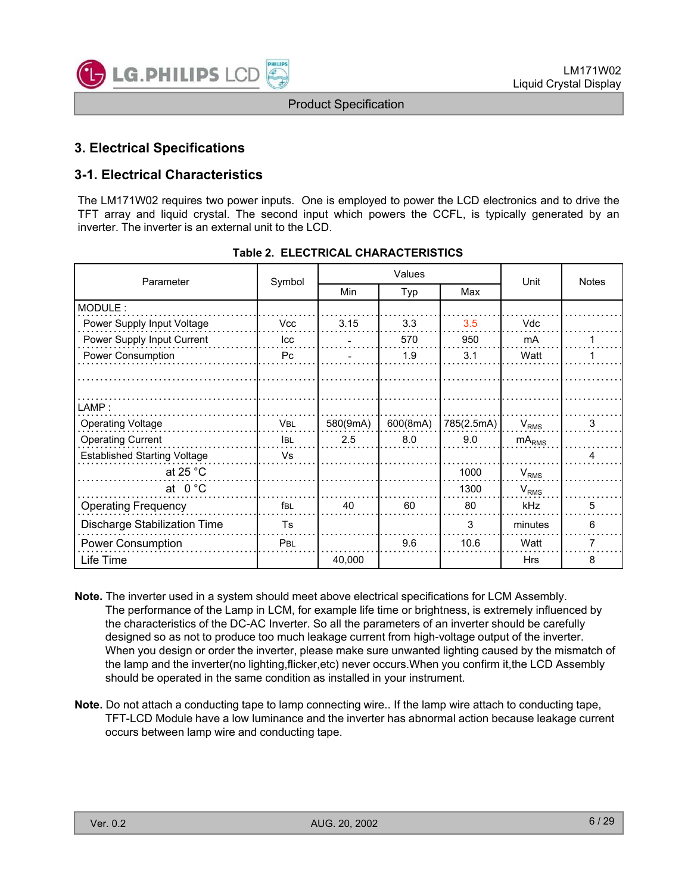

# **3. Electrical Specifications**

# **3-1. Electrical Characteristics**

The LM171W02 requires two power inputs. One is employed to power the LCD electronics and to drive the TFT array and liquid crystal. The second input which powers the CCFL, is typically generated by an inverter. The inverter is an external unit to the LCD.

| Parameter                           | Symbol     |          | Values   |            | Unit              | <b>Notes</b> |
|-------------------------------------|------------|----------|----------|------------|-------------------|--------------|
|                                     |            | Min      | Typ      | Max        |                   |              |
| MODULE:                             |            |          |          |            |                   |              |
| Power Supply Input Voltage          | <b>Vcc</b> | 3.15     | 3.3      | 3.5        | Vdc               |              |
| Power Supply Input Current          | lcc        |          | 570      | 950        | mA                |              |
| Power Consumption                   | Pc         |          | 1.9      | 3.1        | Watt              |              |
|                                     |            |          |          |            |                   |              |
|                                     |            |          |          |            |                   |              |
| LAMP:                               |            |          |          |            |                   |              |
| <b>Operating Voltage</b>            | VBL        | 580(9mA) | 600(8mA) | 785(2.5mA) | $V_{RMS}$         | 3            |
| <b>Operating Current</b>            | <b>IBL</b> | 2.5      | 8.0      | 9.0        | mA <sub>RMS</sub> |              |
| <b>Established Starting Voltage</b> | Vs         |          |          |            |                   |              |
| at 25 $^{\circ}$ C                  |            |          |          | 1000       | $V_{RMS}$         |              |
| at $0^{\circ}$ C                    |            |          |          | 1300       | $V_{RMS}$         |              |
| <b>Operating Frequency</b>          | fbl        | 40       | 60       | 80         | kHz               | 5            |
| <b>Discharge Stabilization Time</b> | <b>Ts</b>  |          |          | 3          | minutes           | 6            |
| <b>Power Consumption</b>            | <b>PBL</b> |          | 9.6      | 10.6       | Watt              | 7            |
| Life Time                           |            | 40.000   |          |            | Hrs               | 8            |

|  | Table 2. ELECTRICAL CHARACTERISTICS |
|--|-------------------------------------|
|  |                                     |

- **Note.** The inverter used in a system should meet above electrical specifications for LCM Assembly. The performance of the Lamp in LCM, for example life time or brightness, is extremely influenced by the characteristics of the DC-AC Inverter. So all the parameters of an inverter should be carefully designed so as not to produce too much leakage current from high-voltage output of the inverter. When you design or order the inverter, please make sure unwanted lighting caused by the mismatch of the lamp and the inverter(no lighting,flicker,etc) never occurs.When you confirm it,the LCD Assembly should be operated in the same condition as installed in your instrument.
- **Note.** Do not attach a conducting tape to lamp connecting wire.. If the lamp wire attach to conducting tape, TFT-LCD Module have a low luminance and the inverter has abnormal action because leakage current occurs between lamp wire and conducting tape.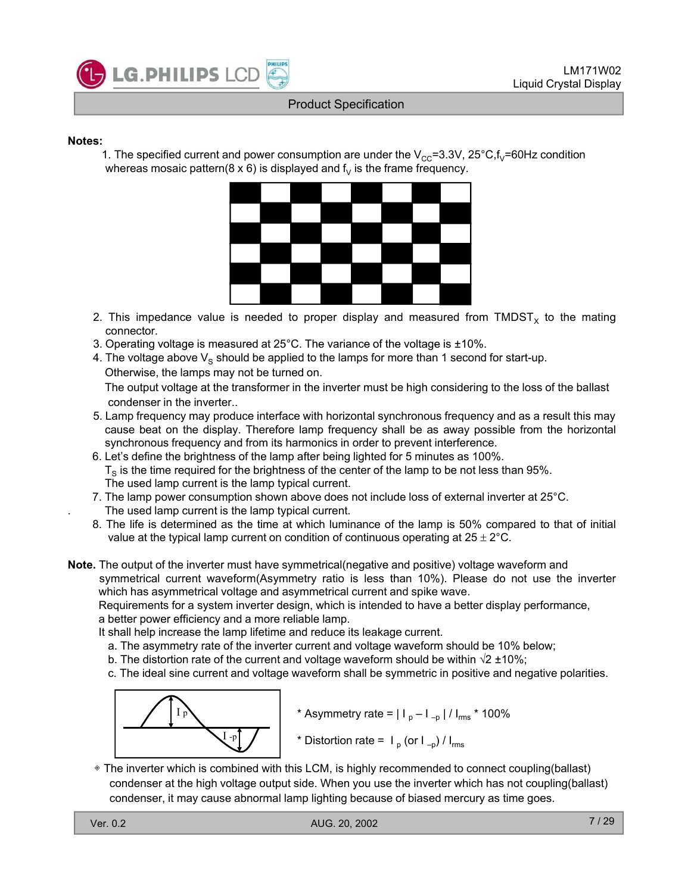

#### **Notes:**

1. The specified current and power consumption are under the  $V_{CC}=3.3V$ , 25°C,f<sub>V</sub>=60Hz condition whereas mosaic pattern( $8 \times 6$ ) is displayed and  $f<sub>V</sub>$  is the frame frequency.



- 2. This impedance value is needed to proper display and measured from TMDST<sub>x</sub> to the mating connector.
- 3. Operating voltage is measured at  $25^{\circ}$ C. The variance of the voltage is  $\pm 10\%$ .
- 4. The voltage above  $V_S$  should be applied to the lamps for more than 1 second for start-up. Otherwise, the lamps may not be turned on.

The output voltage at the transformer in the inverter must be high considering to the loss of the ballast condenser in the inverter..

- 5. Lamp frequency may produce interface with horizontal synchronous frequency and as a result this may cause beat on the display. Therefore lamp frequency shall be as away possible from the horizontal synchronous frequency and from its harmonics in order to prevent interference.
- 6. Let's define the brightness of the lamp after being lighted for 5 minutes as 100%.  $T<sub>S</sub>$  is the time required for the brightness of the center of the lamp to be not less than 95%. The used lamp current is the lamp typical current.
- 7. The lamp power consumption shown above does not include loss of external inverter at  $25^{\circ}$ C. The used lamp current is the lamp typical current.
- 8. The life is determined as the time at which luminance of the lamp is 50% compared to that of initial value at the typical lamp current on condition of continuous operating at  $25 \pm 2^{\circ}$ C.
- **Note.** The output of the inverter must have symmetrical(negative and positive) voltage waveform and symmetrical current waveform(Asymmetry ratio is less than 10%). Please do not use the inverter which has asymmetrical voltage and asymmetrical current and spike wave.

Requirements for a system inverter design, which is intended to have a better display performance, a better power efficiency and a more reliable lamp.

It shall help increase the lamp lifetime and reduce its leakage current.

- a. The asymmetry rate of the inverter current and voltage waveform should be 10% below;
- b. The distortion rate of the current and voltage waveform should be within  $\sqrt{2} \pm 10\%$ ;
- c. The ideal sine current and voltage waveform shall be symmetric in positive and negative polarities.



\* Asymmetry rate =  $| I_p - I_{-p} | / I_{rms}$  \* 100%

\* Distortion rate =  $I_p$  (or  $I_{-p}$ ) /  $I_{rms}$ 

**• The inverter which is combined with this LCM, is highly recommended to connect coupling(ballast)** condenser at the high voltage output side. When you use the inverter which has not coupling(ballast) condenser, it may cause abnormal lamp lighting because of biased mercury as time goes.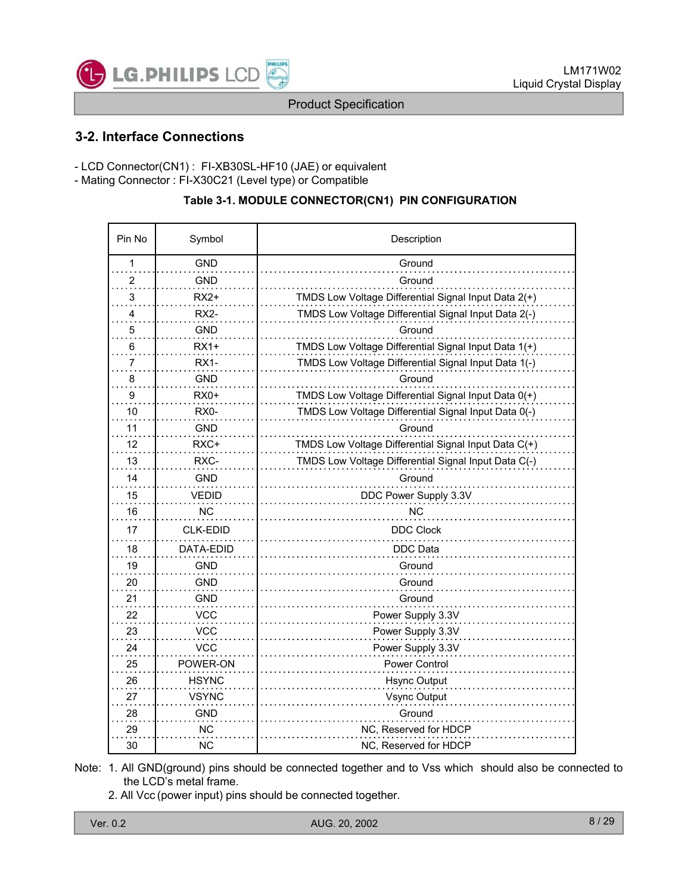

# **3-2. Interface Connections**

- LCD Connector(CN1) : FI-XB30SL-HF10 (JAE) or equivalent
- Mating Connector : FI-X30C21 (Level type) or Compatible

#### **Table 3-1. MODULE CONNECTOR(CN1) PIN CONFIGURATION**

| Pin No | Symbol       | Description                                          |  |
|--------|--------------|------------------------------------------------------|--|
| 1      | <b>GND</b>   | Ground                                               |  |
| 2      | <b>GND</b>   | Ground                                               |  |
| 3      | $RX2+$       | TMDS Low Voltage Differential Signal Input Data 2(+) |  |
| 4      | RX2-         | TMDS Low Voltage Differential Signal Input Data 2(-) |  |
| 5      | <b>GND</b>   | Ground                                               |  |
| 6      | $RX1+$       | TMDS Low Voltage Differential Signal Input Data 1(+) |  |
| 7      | <b>RX1-</b>  | TMDS Low Voltage Differential Signal Input Data 1(-) |  |
| 8      | GND          | Ground                                               |  |
| 9      | $RX0+$       | TMDS Low Voltage Differential Signal Input Data 0(+) |  |
| 10     | RX0-         | TMDS Low Voltage Differential Signal Input Data 0(-) |  |
| 11     | GND          | Ground                                               |  |
| 12     | RXC+         | TMDS Low Voltage Differential Signal Input Data C(+) |  |
| 13     | RXC-         | TMDS Low Voltage Differential Signal Input Data C(-) |  |
| 14     | <b>GND</b>   | Ground                                               |  |
| 15     | <b>VEDID</b> | DDC Power Supply 3.3V                                |  |
| 16     | ΝC           | NС                                                   |  |
| 17     | CLK-EDID     | <b>DDC Clock</b>                                     |  |
| 18     | DATA-EDID    | DDC Data                                             |  |
| 19     | GND          | Ground                                               |  |
| 20     | GND          | Ground                                               |  |
| 21     | GND          | Ground                                               |  |
| 22     | <b>VCC</b>   | Power Supply 3.3V                                    |  |
| 23     | <b>VCC</b>   | Power Supply 3.3V                                    |  |
| 24     | <b>VCC</b>   | Power Supply 3.3V                                    |  |
| 25     | POWER-ON     | Power Control                                        |  |
| 26     | <b>HSYNC</b> | <b>Hsync Output</b>                                  |  |
| 27     | VSYNC        | Vsync Output                                         |  |
| 28     | <b>GND</b>   | Ground                                               |  |
| 29     | <b>NC</b>    | NC, Reserved for HDCP                                |  |
| 30     | ΝC           | NC, Reserved for HDCP                                |  |

Note: 1. All GND(ground) pins should be connected together and to Vss which should also be connected to the LCD's metal frame.

2. All Vcc (power input) pins should be connected together.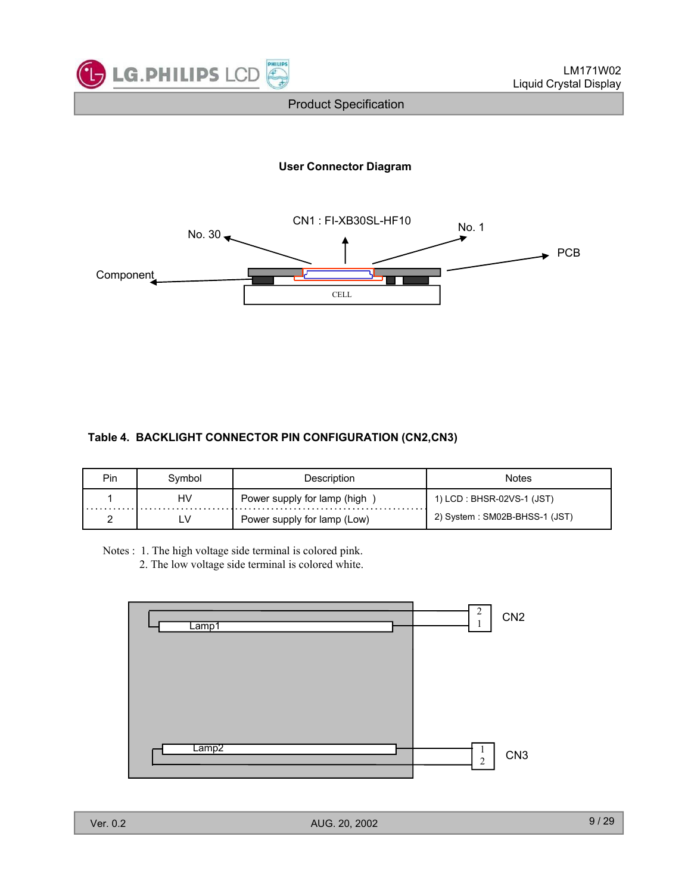

#### **User Connector Diagram**



#### **Table 4. BACKLIGHT CONNECTOR PIN CONFIGURATION (CN2,CN3)**

| Pin | Svmbol | Description                 | Notes                         |
|-----|--------|-----------------------------|-------------------------------|
|     | HV     | Power supply for lamp (high | 1) LCD : BHSR-02VS-1 (JST)    |
|     |        | Power supply for lamp (Low) | 2) System: SM02B-BHSS-1 (JST) |

Notes : 1. The high voltage side terminal is colored pink.

2. The low voltage side terminal is colored white.

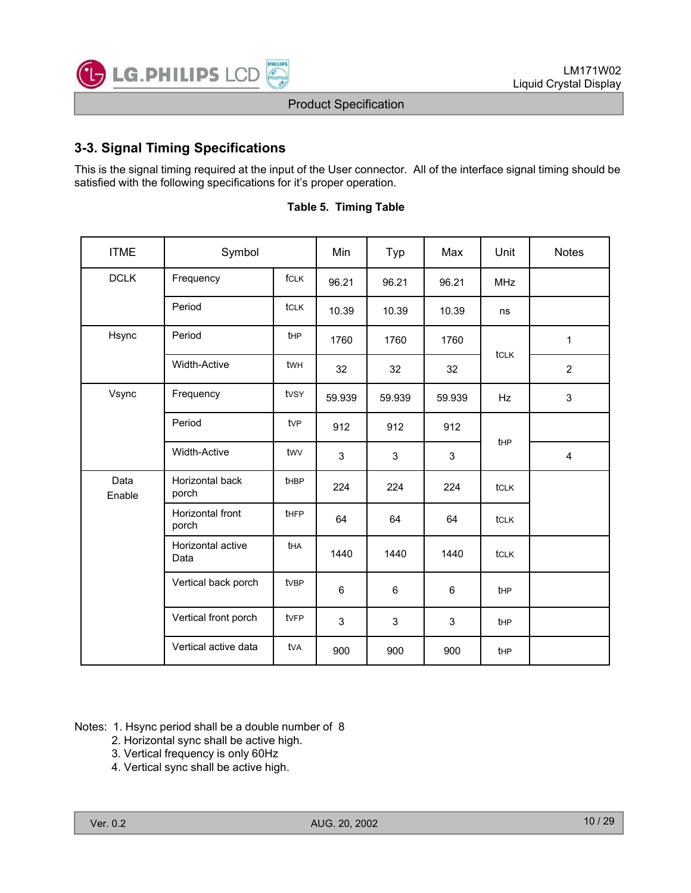

# **3-3. Signal Timing Specifications**

This is the signal timing required at the input of the User connector. All of the interface signal timing should be satisfied with the following specifications for it's proper operation.

| <b>ITME</b>    | Symbol                    |                 | Min    | Typ    | Max    | Unit        | <b>Notes</b>            |
|----------------|---------------------------|-----------------|--------|--------|--------|-------------|-------------------------|
| <b>DCLK</b>    | Frequency                 | fcLK            | 96.21  | 96.21  | 96.21  | <b>MHz</b>  |                         |
|                | Period                    | tclk            | 10.39  | 10.39  | 10.39  | ns          |                         |
| Hsync          | Period                    | tHP             | 1760   | 1760   | 1760   |             | $\mathbf{1}$            |
|                | <b>Width-Active</b>       | twh             | 32     | 32     | 32     | tclk        | $\overline{2}$          |
| Vsync          | Frequency                 | tvsy            | 59.939 | 59.939 | 59.939 | <b>Hz</b>   | 3                       |
|                | Period                    | tv <sub>P</sub> | 912    | 912    | 912    |             |                         |
|                | <b>Width-Active</b>       | twy             | 3      | 3      | 3      | <b>t</b> HP | $\overline{\mathbf{4}}$ |
| Data<br>Enable | Horizontal back<br>porch  | <b>tHBP</b>     | 224    | 224    | 224    | <b>tCLK</b> |                         |
|                | Horizontal front<br>porch | tHFP            | 64     | 64     | 64     | <b>tCLK</b> |                         |
|                | Horizontal active<br>Data | tha             | 1440   | 1440   | 1440   | tclk        |                         |
|                | Vertical back porch       | tvBP            | 6      | 6      | 6      | <b>t</b> HP |                         |
|                | Vertical front porch      | tvFP            | 3      | 3      | 3      | tHP         |                         |
|                | Vertical active data      | tva             | 900    | 900    | 900    | tHP         |                         |

#### **Table 5. Timing Table**

Notes: 1. Hsync period shall be a double number of 8

- 2. Horizontal sync shall be active high.
- 3. Vertical frequency is only 60Hz
- 4. Vertical sync shall be active high.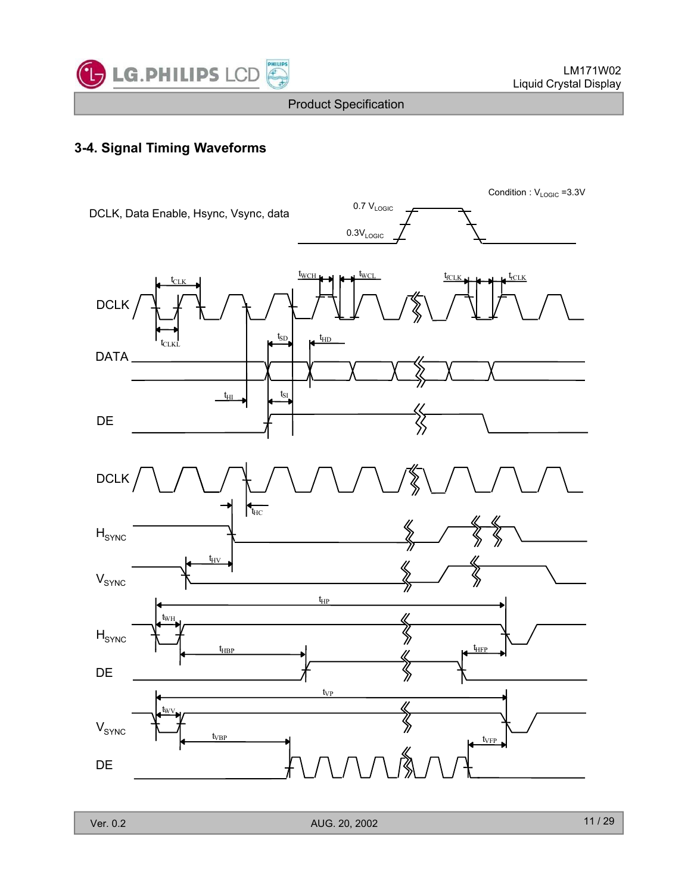

# **3-4. Signal Timing Waveforms**

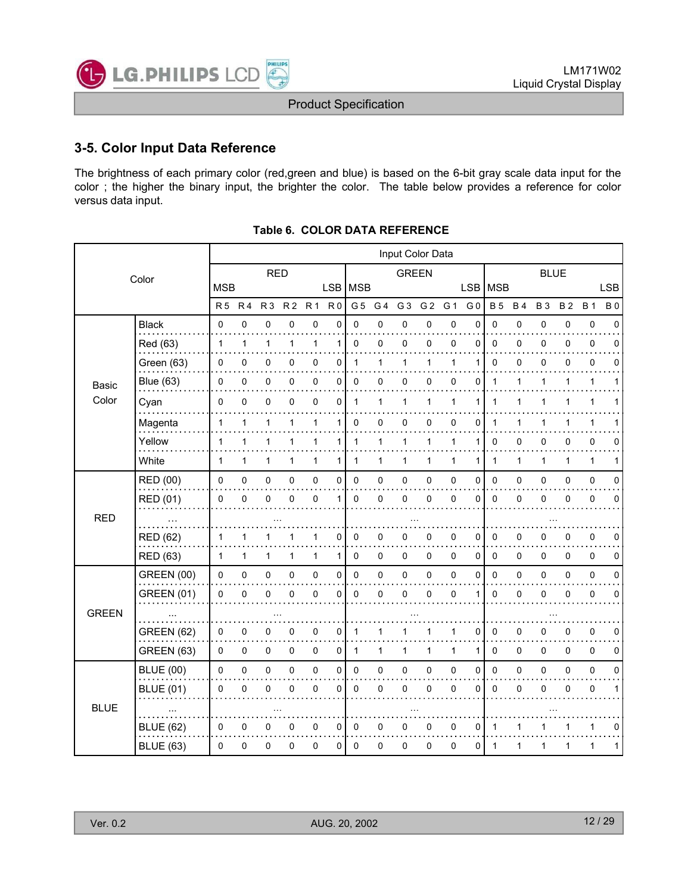

# **3-5. Color Input Data Reference**

The brightness of each primary color (red,green and blue) is based on the 6-bit gray scale data input for the color ; the higher the binary input, the brighter the color. The table below provides a reference for color versus data input.

|                |                   |                |                |                |                |              |                |                |                | Input Color Data |                |             |                |             |             |             |           |              |             |
|----------------|-------------------|----------------|----------------|----------------|----------------|--------------|----------------|----------------|----------------|------------------|----------------|-------------|----------------|-------------|-------------|-------------|-----------|--------------|-------------|
|                | Color             |                |                | <b>RED</b>     |                |              |                |                |                | <b>GREEN</b>     |                |             |                |             |             | <b>BLUE</b> |           |              |             |
|                |                   | <b>MSB</b>     |                |                |                |              | <b>LSB</b>     | <b>MSB</b>     |                |                  |                |             | <b>LSB</b>     | <b>MSB</b>  |             |             |           |              | <b>LSB</b>  |
|                |                   | R <sub>5</sub> | R <sub>4</sub> | R <sub>3</sub> | R <sub>2</sub> | <b>R1</b>    | R <sub>0</sub> | G <sub>5</sub> | G <sub>4</sub> | G <sub>3</sub>   | G <sub>2</sub> | G 1         | G <sub>0</sub> | <b>B5</b>   | <b>B4</b>   | <b>B3</b>   | <b>B2</b> | <b>B</b> 1   | <b>B0</b>   |
|                | <b>Black</b>      | 0              | 0              | $\mathbf 0$    | 0              | $\pmb{0}$    | $\pmb{0}$      | 0              | 0              | 0                | $\mathbf 0$    | 0           | $\mathbf 0$    | 0           | 0           | 0           | 0         | 0            | $\mathbf 0$ |
|                | Red (63)          | $\mathbf{1}$   | 1              | 1              | 1              | $\mathbf{1}$ | 1              | $\mathbf 0$    | 0              | 0                | $\pmb{0}$      | $\mathbf 0$ | $\Omega$       | 0           | 0           | 0           | 0         | 0            | $\Omega$    |
|                | Green (63)        | 0              | 0              | 0              | 0              | 0            | 0              | $\mathbf 1$    | 1              |                  | 1              | 1           | 1              | 0           | 0           | 0           | 0         | 0            | 0           |
| Basic<br>Color | <b>Blue (63)</b>  | 0              | 0              | 0              | 0              | $\mathbf 0$  | 0              | 0              | 0              | 0                | 0              | $\mathbf 0$ | 0              | 1           | 1           | 1           | 1         | $\mathbf{1}$ | 1           |
|                | Cyan              | 0              | 0              | 0              | 0              | $\mathbf 0$  | 0              | $\mathbf{1}$   | 1              | 1                | 1              | 1           | 1              |             | 1           |             | 1         | 1            |             |
|                | Magenta           | $\mathbf{1}$   | 1              | 1              | 1              | $\mathbf{1}$ | 1              | 0              | 0              | 0                | 0              | $\mathbf 0$ | 0              | 1           | $\mathbf 1$ | 1           | 1         | 1            | 1           |
|                | Yellow            | 1              | 1              | 1              | 1              | $\mathbf{1}$ | 1              | 1              | 1              | 1                | $\mathbf{1}$   | 1           | 1              | 0           | 0           | 0           | 0         | 0            | 0           |
|                | White             | 1              | 1              | 1              | 1              | $\mathbf{1}$ | 1              | 1              | 1              | 1                | $\mathbf{1}$   | 1           | 1              | 1           | 1           | 1           | 1         | $\mathbf{1}$ | 1           |
|                | <b>RED</b> (00)   | 0              | $\pmb{0}$      | $\pmb{0}$      | 0              | $\pmb{0}$    | 0              | $\pmb{0}$      | $\pmb{0}$      | 0                | $\pmb{0}$      | $\mathsf 0$ | $\mathbf 0$    | 0           | $\pmb{0}$   | $\pmb{0}$   | 0         | $\pmb{0}$    | $\mathbf 0$ |
|                | RED (01)          | 0              | 0              | $\Omega$       | 0              | 0            | 1              | $\Omega$       | 0              | 0                | 0              | 0           | $\mathbf{0}$   | 0           | 0           | 0           | 0         | 0            | $\Omega$    |
| <b>RED</b>     | $\sim$ $\sim$     |                |                |                |                |              |                |                |                |                  |                |             |                |             |             |             |           |              |             |
|                | <b>RED (62)</b>   |                | 1              | 1              |                | 1            | 0              | 0              | 0              | 0                | $\pmb{0}$      | 0           | 0              | 0           | 0           | 0           | 0         | 0            | 0           |
|                | <b>RED (63)</b>   | 1              | 1              | $\mathbf{1}$   | 1              | $\mathbf{1}$ | 1              | 0              | 0              | 0                | 0              | 0           | 0              | 0           | 0           | 0           | 0         | 0            | 0           |
|                | <b>GREEN (00)</b> | 0              | 0              | $\pmb{0}$      | 0              | $\pmb{0}$    | $\pmb{0}$      | $\mathbf 0$    | 0              | 0                | $\pmb{0}$      | 0           | $\mathbf 0$    | 0           | 0           | 0           | 0         | $\pmb{0}$    | $\mathbf 0$ |
|                | <b>GREEN (01)</b> | 0              | 0              | $\Omega$       | 0              | $\mathbf 0$  | 0              | $\Omega$       | 0              | $\Omega$         | 0              | $\mathbf 0$ | 1              | 0           | $\mathbf 0$ | $\Omega$    | $\Omega$  | 0            | $\Omega$    |
| <b>GREEN</b>   |                   |                |                |                |                |              |                |                |                |                  |                |             |                |             |             |             |           |              |             |
|                | <b>GREEN (62)</b> | 0              | 0              | $\mathbf 0$    | 0              | 0            | 0              | 1              | 1              |                  | 1              | 1           | 0              | 0           | 0           | 0           | 0         | 0            | $\Omega$    |
|                | <b>GREEN (63)</b> | 0              | 0              | 0              | 0              | 0            | 0              | $\mathbf{1}$   | 1              | 1                | 1              | 1           | 1              | 0           | 0           | 0           | 0         | $\mathbf 0$  | 0           |
|                | <b>BLUE (00)</b>  | $\Omega$       | 0              | $\pmb{0}$      | 0              | $\pmb{0}$    | $\mathbf 0$    | $\mathbf 0$    | 0              | 0                | $\pmb{0}$      | $\mathbf 0$ | $\mathbf 0$    | $\mathbf 0$ | $\mathsf 0$ | $\mathbf 0$ | 0         | $\pmb{0}$    | $\mathbf 0$ |
|                | <b>BLUE (01)</b>  | 0              | 0              | $\mathbf 0$    | $\mathbf{0}$   | $\mathbf 0$  | 0              | $\mathbf 0$    | 0              | 0                | 0              | $\mathbf 0$ | $\mathbf{0}$   | 0           | 0           | 0           | 0         | 0            | 1           |
| <b>BLUE</b>    |                   |                |                |                |                |              |                |                |                |                  |                |             |                |             |             |             |           |              |             |
|                | <b>BLUE (62)</b>  | 0              | 0              | 0              | 0              | 0            | 0              | 0              | 0              | 0                | 0              | 0           | 0              | 1           | 1           |             | 1         | 1            | 0           |
|                | <b>BLUE (63)</b>  | 0              | 0              | 0              | 0              | 0            | 0              | 0              | 0              | 0                | 0              | 0           | 0              | 1           | 1           | 1           | 1         | 1            | 1           |

#### **Table 6. COLOR DATA REFERENCE**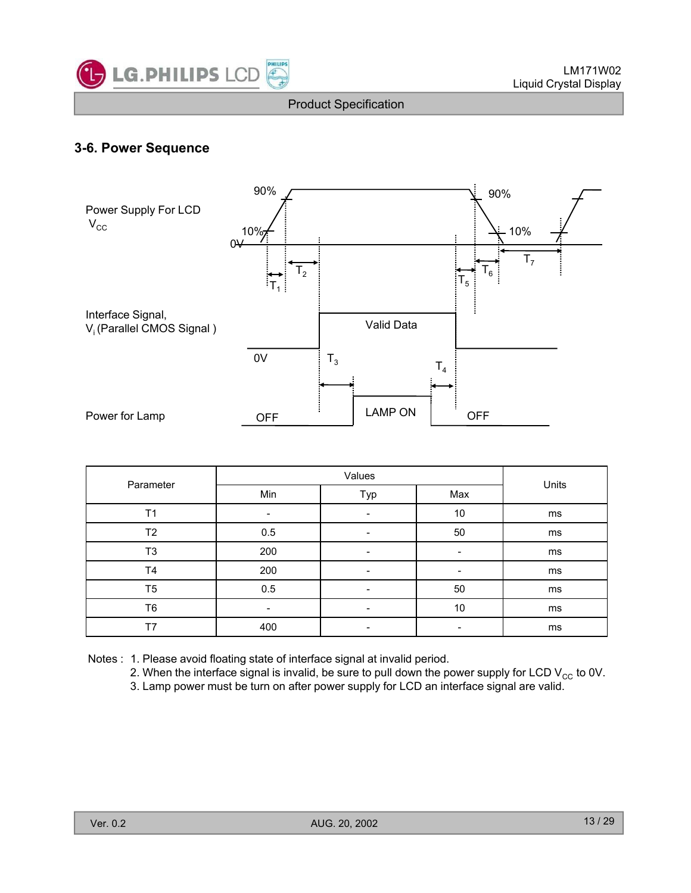

# **3-6. Power Sequence**



| Parameter      |     | Values                   |                          | Units |  |
|----------------|-----|--------------------------|--------------------------|-------|--|
|                | Min | Typ                      | Max                      |       |  |
| T <sub>1</sub> |     | $\overline{\phantom{a}}$ | 10                       | ms    |  |
| Т2             | 0.5 | $\overline{\phantom{a}}$ | 50                       | ms    |  |
| T <sub>3</sub> | 200 | -                        | -                        | ms    |  |
| <b>T4</b>      | 200 | $\overline{\phantom{a}}$ | -                        | ms    |  |
| T <sub>5</sub> | 0.5 | -                        | 50                       | ms    |  |
| T6             | -   | $\overline{\phantom{a}}$ | 10                       | ms    |  |
| T7             | 400 | $\overline{\phantom{a}}$ | $\overline{\phantom{a}}$ | ms    |  |

- Notes : 1. Please avoid floating state of interface signal at invalid period.
	- 2. When the interface signal is invalid, be sure to pull down the power supply for LCD  $V_{CC}$  to 0V.
	- 3. Lamp power must be turn on after power supply for LCD an interface signal are valid.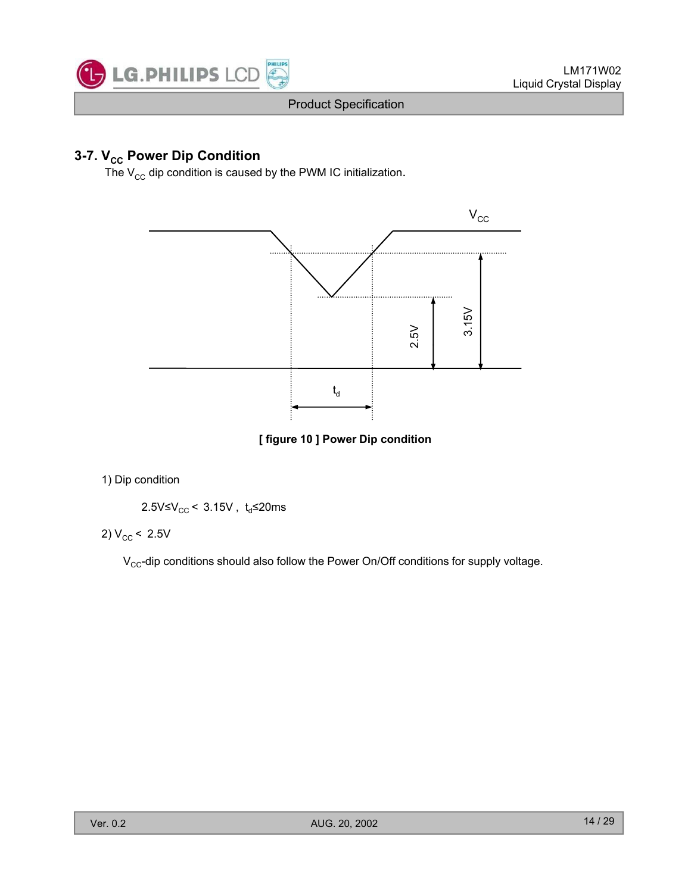

# **3-7. V<sub>cc</sub> Power Dip Condition**

The  $V_{\text{cc}}$  dip condition is caused by the PWM IC initialization.



**[ figure 10 ] Power Dip condition**

1) Dip condition

$$
2.5 \text{V} \leq \text{V}_{\text{CC}} < 3.15 \text{V}, \text{ t}_{\text{d}} \leq 20 \text{ms}
$$

2)  $V_{CC}$  < 2.5V

 $V_{CC}$ -dip conditions should also follow the Power On/Off conditions for supply voltage.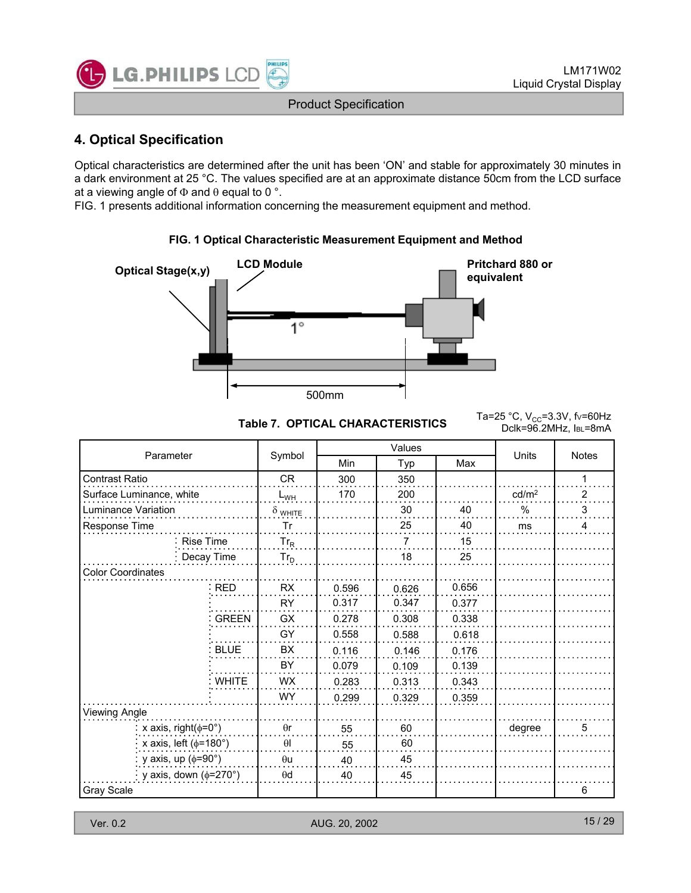

# **4 Optical Specification 4. Optical**

Optical characteristics are determined after the unit has been 'ON' and stable for approximately 30 minutes in a dark environment at 25 °C. The values specified are at an approximate distance 50cm from the LCD surface at a viewing angle of  $\Phi$  and  $\theta$  equal to 0 °.

FIG. 1 presents additional information concerning the measurement equipment and method.

#### **FIG. 1 Optical Characteristic Measurement Equipment and Method FIG. 1 Optical Characteristic Measurement Equipment and**



Table 7. OPTICAL CHARACTERISTICS<br>Collection Deligne Deligne 201⊥z laughna Dclk=96.2MHz, IBL=8mA

| Parameter                       |                |               | Values |       | Units             | <b>Notes</b>   |
|---------------------------------|----------------|---------------|--------|-------|-------------------|----------------|
|                                 | Symbol         | Min           | Typ    | Max   |                   |                |
| Contrast Ratio                  | <b>CR</b>      | 300           | 350    |       |                   | 1              |
| Surface Luminance, white        | $L_{WH}$       | 170           | 200    |       | cd/m <sup>2</sup> | $\overline{2}$ |
| Luminance Variation             | $\delta$ white |               | 30     | 40    | $\%$              | 3              |
| Response Time                   | Tr             |               | 25     | 40    | ms                | 4              |
| <b>Rise Time</b>                | $Tr_R$         |               | 7      | 15    |                   |                |
| Decay Time                      | $Tr_D$         |               | 18     | 25    |                   |                |
| <b>Color Coordinates</b>        |                |               |        |       |                   |                |
| <b>RED</b>                      | <b>RX</b>      | 0.596         | 0.626  | 0.656 |                   |                |
|                                 | <b>RY</b>      | 0.317         | 0.347  | 0.377 |                   |                |
| <b>GREEN</b>                    | <b>GX</b>      | 0.278         | 0.308  | 0.338 |                   |                |
|                                 | GY             | 0.558         | 0.588  | 0.618 |                   |                |
| <b>BLUE</b>                     | BX.            | 0.116         | 0.146  | 0.176 |                   |                |
|                                 | BY             | 0.079         | 0.109  | 0.139 |                   |                |
| <b>WHITE</b>                    | <b>WX</b>      | 0.283         | 0.313  | 0.343 |                   |                |
|                                 | <b>WY</b>      | 0.299         | 0.329  | 0.359 |                   |                |
| Viewing Angle                   |                |               |        |       |                   |                |
| x axis, right( $\phi$ =0°)      | $\theta$ r     | 55            | 60     |       | degree            | 5              |
| x axis, left ( $\phi$ =180°)    | $\theta$ l     | 55            | 60     |       |                   |                |
| y axis, up $(\phi = 90^\circ)$  | $\theta$ u     | 40            | 45     |       |                   |                |
| y axis, down $(\phi=270^\circ)$ | $\theta$ d     | 40            | 45     |       |                   |                |
| <b>Gray Scale</b>               |                |               |        |       |                   | 6              |
|                                 |                |               |        |       |                   |                |
| Ver. 0.2                        |                | AUG. 20, 2002 |        |       |                   | 15/29          |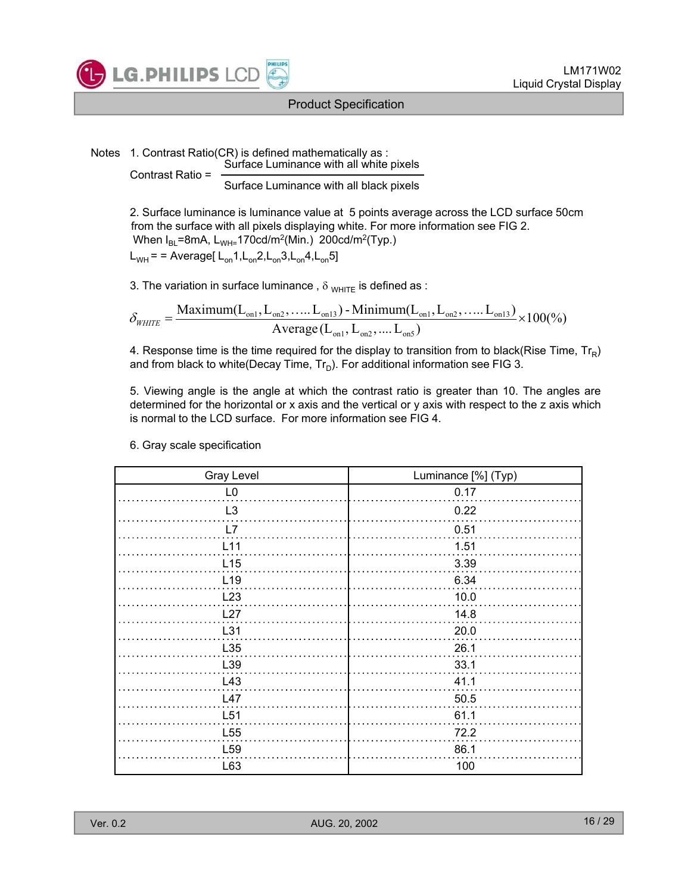

Notes 1. Contrast Ratio(CR) is defined mathematically as : Surface Luminance with all white pixels Contrast Ratio =

Surface Luminance with all black pixels

2. Surface luminance is luminance value at 5 points average across the LCD surface 50cm from the surface with all pixels displaying white. For more information see FIG 2. When  $I_{BL}$ =8mA, L<sub>WH=</sub>170cd/m<sup>2</sup>(Min.) 200cd/m<sup>2</sup>(Typ.)  $L_{WH}$  = = Average[ $L_{on}1, L_{on}2, L_{on}3, L_{on}4, L_{on}5$ ]

3. The variation in surface luminance,  $\delta_{WHTE}$  is defined as :

$$
\delta_{\text{WHTE}} = \frac{\text{Maximum}(L_{on1}, L_{on2}, \dots, L_{on13}) - \text{Minimum}(L_{on1}, L_{on2}, \dots, L_{on13})}{\text{Average}(L_{on1}, L_{on2}, \dots, L_{on5})} \times 100\%)
$$

4. Response time is the time required for the display to transition from to black(Rise Time,  $Tr_R$ ) and from black to white(Decay Time,  $Tr_D$ ). For additional information see FIG 3.

5. Viewing angle is the angle at which the contrast ratio is greater than 10. The angles are determined for the horizontal or x axis and the vertical or y axis with respect to the z axis which is normal to the LCD surface. For more information see FIG 4.

| <b>Gray Level</b> | Luminance [%] (Typ) |
|-------------------|---------------------|
| L <sub>0</sub>    | 0.17                |
| L <sub>3</sub>    | 0.22                |
| L7                | 0.51                |
| L11               | 1.51                |
| L15               | 3.39                |
| L <sub>19</sub>   | 6.34                |
| L23               | 10.0                |
| L27               | 14.8                |
| L31               | 20.0                |
| L35               | 26.1                |
| L39               | 33.1                |
| L43               | 41.1                |
| L47               | 50.5                |
| L51               | 61.1                |
| L <sub>55</sub>   | 72.2                |
| L <sub>59</sub>   | 86.1                |
| L63               | 100                 |

6. Gray scale specification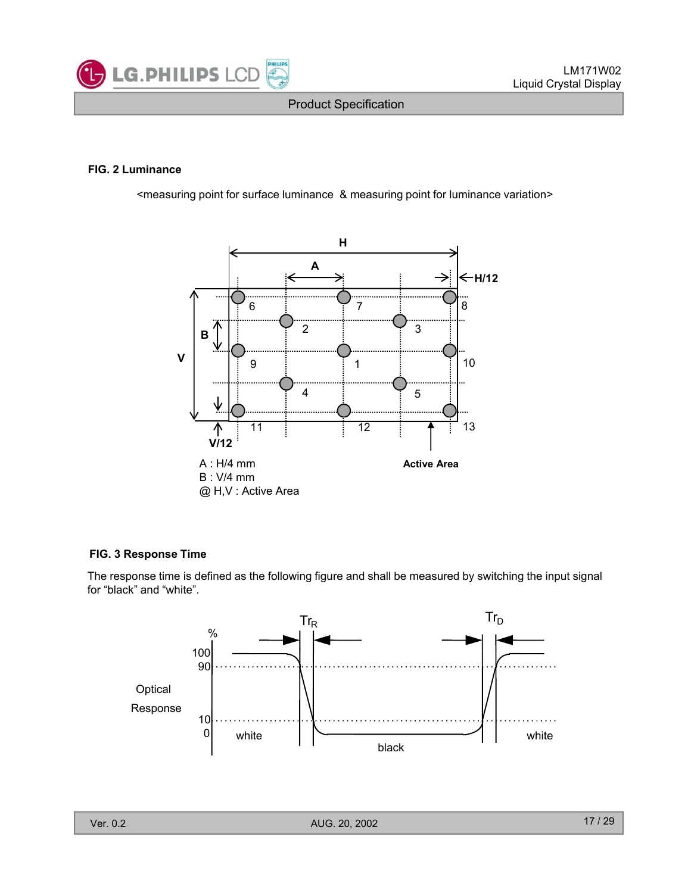

#### **FIG. 2 Luminance**

<measuring point for surface luminance & measuring point for luminance variation>



#### **FIG. 3 Response Time**

The response time is defined as the following figure and shall be measured by switching the input signal for "black" and "white".

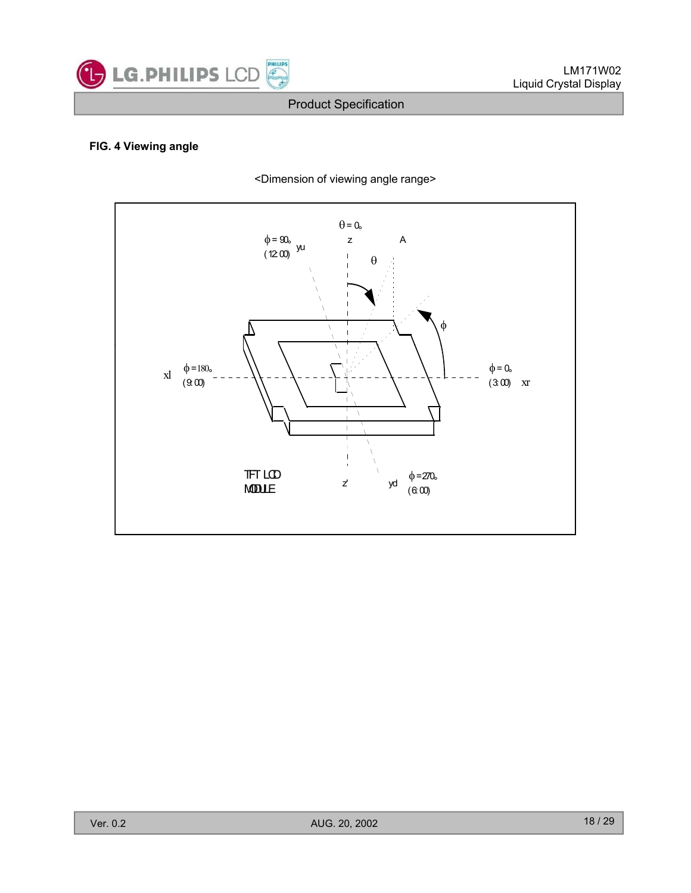

#### **FIG. 4 Viewing angle**



<Dimension of viewing angle range>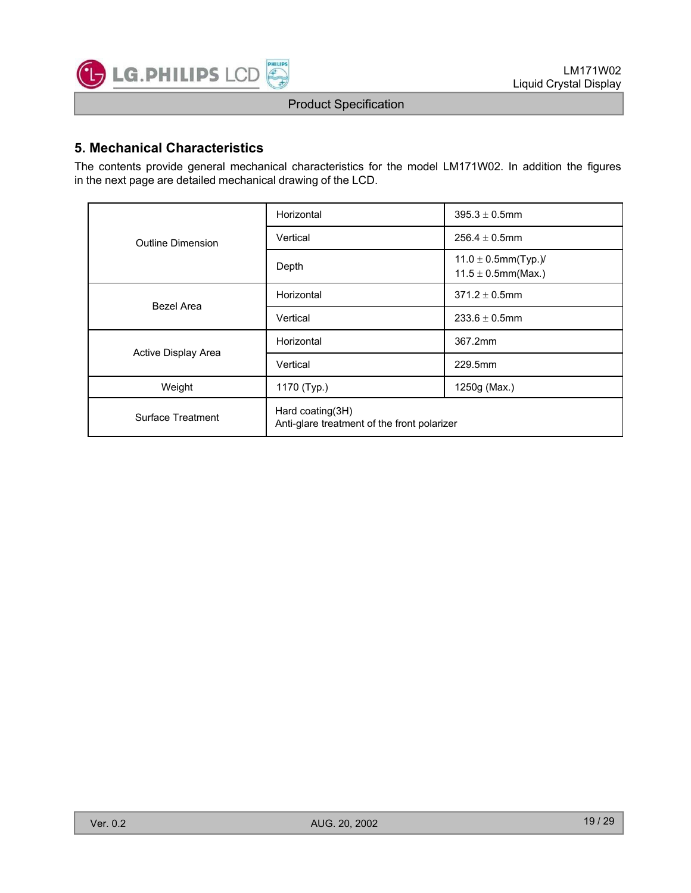

### **5. Mechanical Characteristics**

The contents provide general mechanical characteristics for the model LM171W02. In addition the figures in the next page are detailed mechanical drawing of the LCD.

|                     | Horizontal                                                      | $395.3 \pm 0.5$ mm                                  |  |  |  |
|---------------------|-----------------------------------------------------------------|-----------------------------------------------------|--|--|--|
| Outline Dimension   | Vertical                                                        | $256.4 \pm 0.5$ mm                                  |  |  |  |
|                     | Depth                                                           | $11.0 \pm 0.5$ mm(Typ.)/<br>$11.5 \pm 0.5$ mm(Max.) |  |  |  |
| Bezel Area          | Horizontal                                                      | $371.2 \pm 0.5$ mm                                  |  |  |  |
|                     | Vertical                                                        | $233.6 \pm 0.5$ mm                                  |  |  |  |
| Active Display Area | Horizontal                                                      | 367.2mm                                             |  |  |  |
|                     | Vertical                                                        | 229.5mm                                             |  |  |  |
| Weight              | 1170 (Typ.)                                                     | 1250g (Max.)                                        |  |  |  |
| Surface Treatment   | Hard coating(3H)<br>Anti-glare treatment of the front polarizer |                                                     |  |  |  |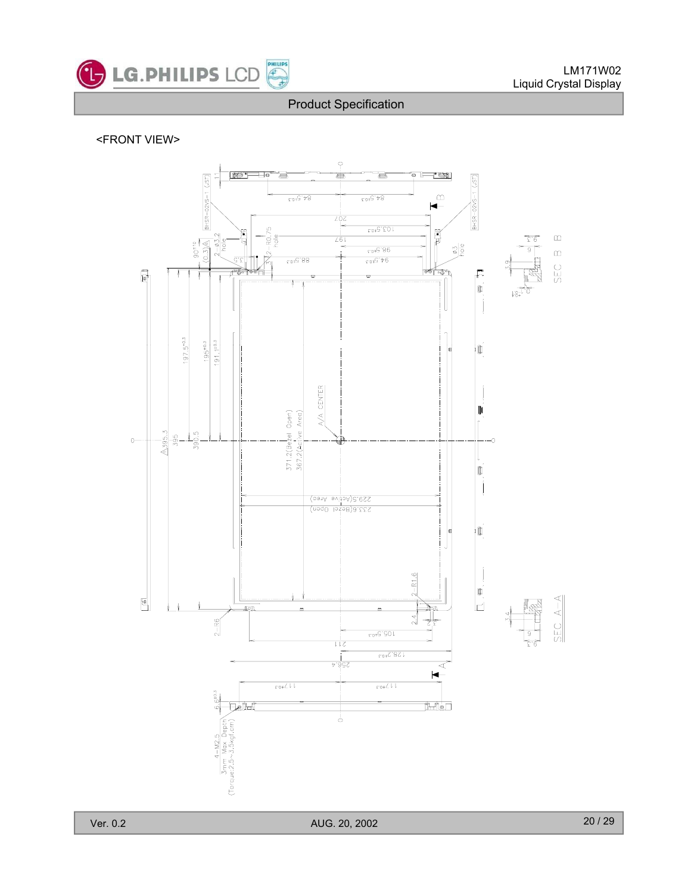

#### <FRONT VIEW> <FRONT

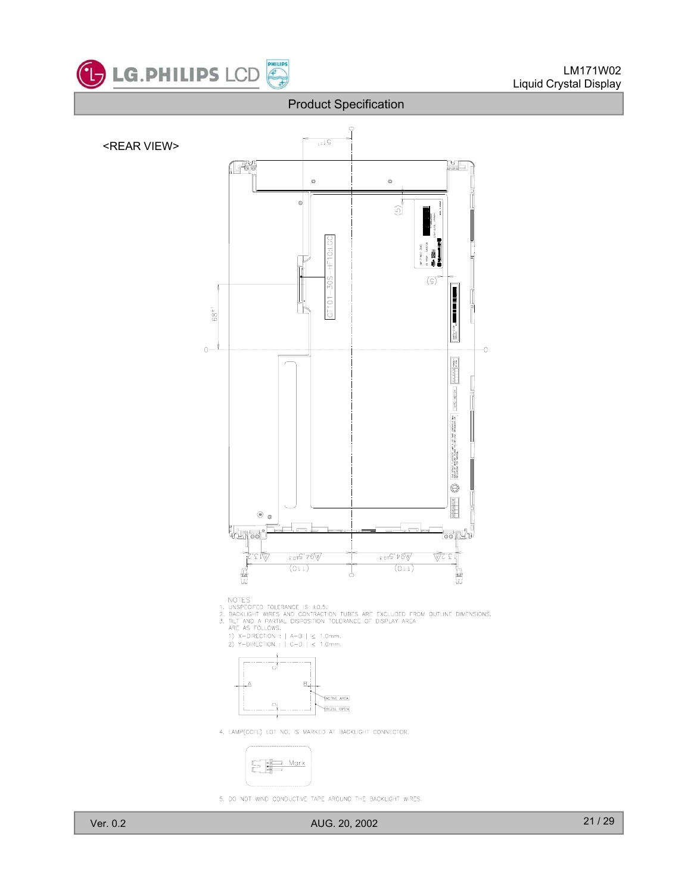



4. LAMP(CCFL) LOT NO. IS MARKED AT BACKLIGHT CONNECTOR.



5. DO NOT WIND CONDUCTIVE TAPE AROUND THE BACKLIGHT WIRES.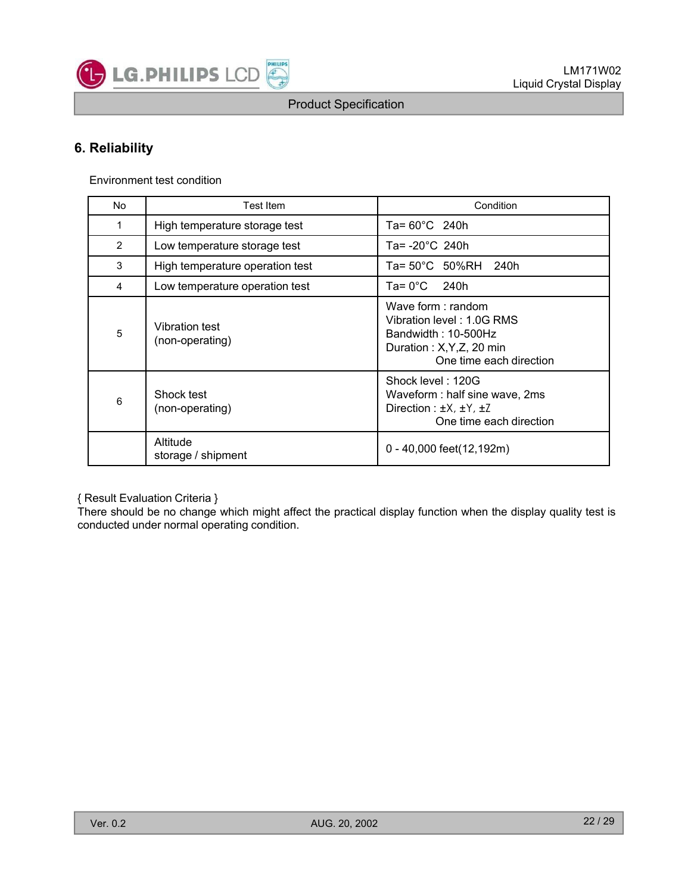

# **6. Reliability**

Environment test condition

| <b>No</b>      | <b>Test Item</b>                         | Condition                                                                                                                     |
|----------------|------------------------------------------|-------------------------------------------------------------------------------------------------------------------------------|
| 1              | High temperature storage test            | Ta= $60^{\circ}$ C 240h                                                                                                       |
| $\overline{2}$ | Low temperature storage test             | Ta= $-20^{\circ}$ C 240h                                                                                                      |
| 3              | High temperature operation test          | Ta= $50^{\circ}$ C $50\%$ RH<br>240h                                                                                          |
| 4              | Low temperature operation test           | $Ta = 0^{\circ}C$ 240h                                                                                                        |
| 5              | <b>Vibration test</b><br>(non-operating) | Wave form: random<br>Vibration level: 1.0G RMS<br>Bandwidth: 10-500Hz<br>Duration: X, Y, Z, 20 min<br>One time each direction |
| 6              | Shock test<br>(non-operating)            | Shock level: 120G<br>Waveform : half sine wave, 2ms<br>Direction : $\pm X$ , $\pm Y$ , $\pm Z$<br>One time each direction     |
|                | Altitude<br>storage / shipment           | 0 - 40,000 feet(12,192m)                                                                                                      |

{ Result Evaluation Criteria }

There should be no change which might affect the practical display function when the display quality test is conducted under normal operating condition. storage / shipment<br>
storage / shipment<br>
stesult Evaluation Criteria }<br>
rere should be no change which might affect the practical display function when the display quality test is<br>
rere should be no change which might affec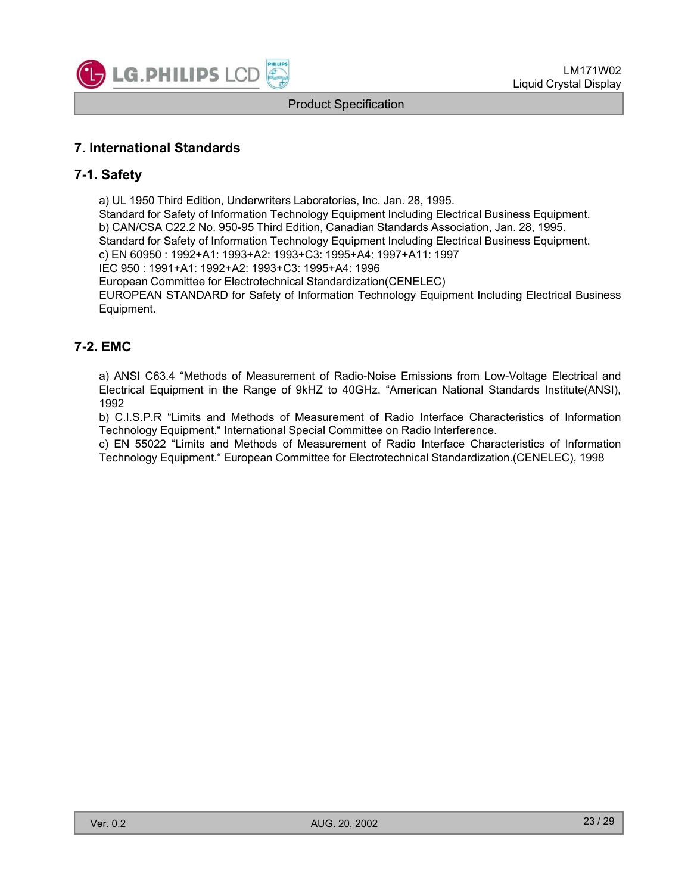

# **7. International Standards**

# **7-1. Safety**

a) UL 1950 Third Edition, Underwriters Laboratories, Inc. Jan. 28, 1995. Standard for Safety of Information Technology Equipment Including Electrical Business Equipment. b) CAN/CSA C22.2 No. 950-95 Third Edition, Canadian Standards Association, Jan. 28, 1995. Standard for Safety of Information Technology Equipment Including Electrical Business Equipment. c) EN 60950 : 1992+A1: 1993+A2: 1993+C3: 1995+A4: 1997+A11: 1997 IEC 950 : 1991+A1: 1992+A2: 1993+C3: 1995+A4: 1996

European Committee for Electrotechnical Standardization(CENELEC)

EUROPEAN STANDARD for Safety of Information Technology Equipment Including Electrical Business Equipment.

# **7-2 EMC .**

a) ANSI C63.4 "Methods of Measurement of Radio-Noise Emissions from Low-Voltage Electrical and Electrical Equipment in the Range of 9kHZ to 40GHz. "American National Standards Institute(ANSI), 1992

b) C.I.S.P.R "Limits and Methods of Measurement of Radio Interface Characteristics of Information Technology Equipment." International Special Committee on Radio Interference.

c) EN 55022 "Limits and Methods of Measurement of Radio Interface Characteristics of Information Technology Equipment." European Committee for Electrotechnical Standardization.(CENELEC), 1998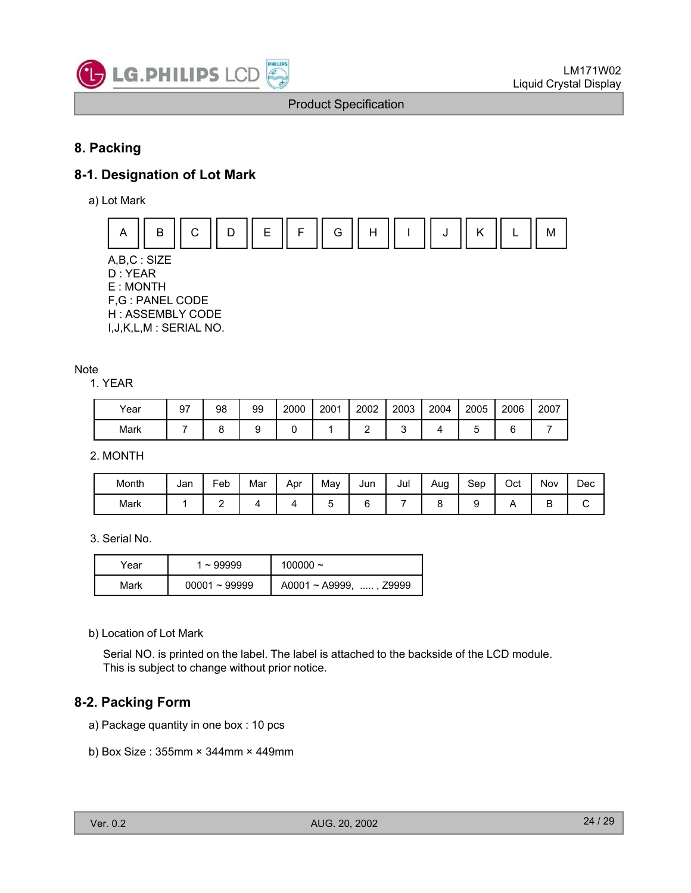

# **8. Packing**

# **8-1. Designation of Lot Mark**

a) Lot Mark



A,B,C : SIZE D : YEAR E : MONTH F,G : PANEL CODE H : ASSEMBLY CODE I,J,K,L,M : SERIAL NO.

#### Note

1. YEAR

| Year | 97 | 98 | 99 | 2000 | 2001 | 2002 | 2003 | 2004 | 2005 | 2006 | 2007 |
|------|----|----|----|------|------|------|------|------|------|------|------|
| Mark |    |    |    |      |      |      |      |      |      |      |      |

2. MONTH

| Month | Jan | -<br>Feb | Mar | Apr | May | Jun | Jul | Aug<br>c | Sep | Oct | Nov    | Dec |
|-------|-----|----------|-----|-----|-----|-----|-----|----------|-----|-----|--------|-----|
| Mark  |     | -        |     |     | -   |     |     |          |     |     | -<br>⋍ |     |

3. Serial No.

| r⁄ear | l ~ 99999       | 100000 $\sim$                |
|-------|-----------------|------------------------------|
| Mark  | $00001 - 99999$ | $A0001 \sim A9999$ , , Z9999 |

b) Location of Lot Mark

Serial NO. is printed on the label. The label is attached to the backside of the LCD module. This is subject to change without prior notice.

# **8-2. Packing Form**

- a) Package quantity in one box : 10 pcs
- b) Box Size : 355mm 344mm 449mm b) Box Size :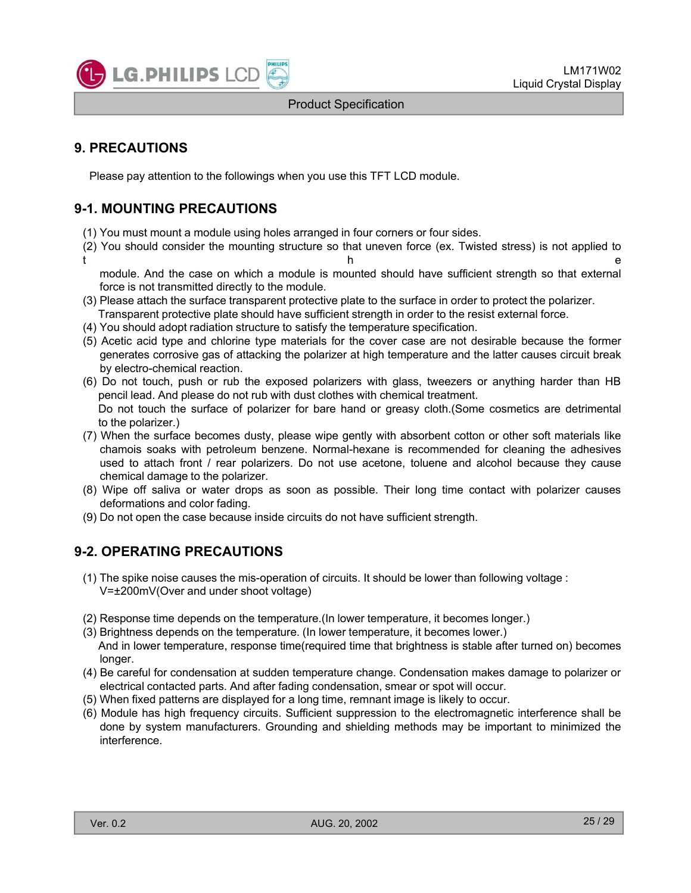

# **9. PRECAUTIONS**

Please pay attention to the followings when you use this TFT LCD module.

# **9-1. MOUNTING PRECAUTIONS**

- (1) You must mount a module using holes arranged in four corners or four sides.
- (2) You should consider the mounting structure so that uneven force (ex. Twisted stress) is not applied to t the contract of the contract of the contract of the contract of the contract of the contract of the contract of the contract of the contract of the contract of the contract of the contract of the contract of the contract

module. And the case on which a module is mounted should have sufficient strength so that external force is not transmitted directly to the module.

- (3) Please attach the surface transparent protective plate to the surface in order to protect the polarizer. Transparent protective plate should have sufficient strength in order to the resist external force.
- (4) You should adopt radiation structure to satisfy the temperature specification.
- (5) Acetic acid type and chlorine type materials for the cover case are not desirable because the former generates corrosive gas of attacking the polarizer at high temperature and the latter causes circuit break by electro-chemical reaction.
- (6) Do not touch, push or rub the exposed polarizers with glass, tweezers or anything harder than HB pencil lead. And please do not rub with dust clothes with chemical treatment. Do not touch the surface of polarizer for bare hand or greasy cloth.(Some cosmetics are detrimental to the polarizer.)
- (7) When the surface becomes dusty, please wipe gently with absorbent cotton or other soft materials like ch amo s soaks with petroleum benzene. Normal-hexane is recommended for cleaning the adhesives used to attach front / rear polarizers. Do not use acetone, toluene and alcohol because they cause chemical damage to the polarizer.
- (8) Wipe off saliva or water drops as soon as possible. Their long time contact with polarizer causes deformations and color fading.
- (9) Do not open the case because inside circuits do not have sufficient strength.

# **9-2 OPERATING PRECAUTIONS 2. OPERATING**

- (1) The spike noise causes the mis-operation of circuits. It should be lower than following voltage : V= $\pm$ 200mV(Over and under shoot voltage)
- (2) Response time depends on the temperature.(In lower temperature, it becomes longer.)
- (3) Brightness depends on the temperature. (In lower temperature, it becomes lower.) And in lower temperature, response time(required time that brightness is stable after turned on) becomes longer.
- (4) Be careful for condensation at sudden temperature change. Condensation makes damage to polarizer or electrical contacted parts. And after fading condensation, smear or spot will occur.
- (5) When fixed patterns are displayed for a long time, remnant image is likely to occur.
- (6) Module has high frequency circuits. Sufficient suppression to the electromagnetic interference shall be done by system manufacturers. Grounding and shielding methods may be important to minimized the interference.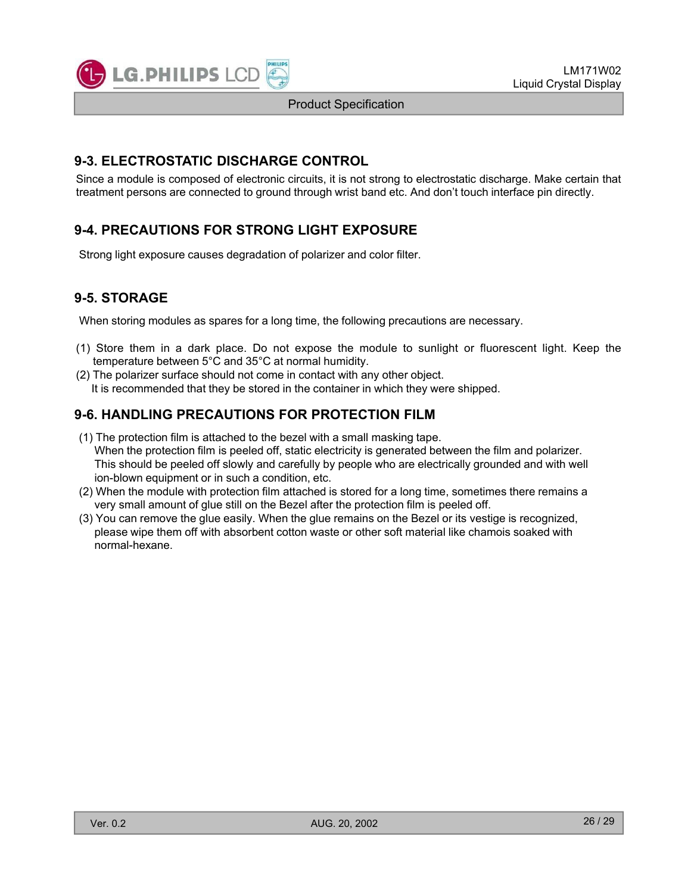

# **9-3. ELECTROSTATIC DISCHARGE CONTROL**

Since a module is composed of electronic circuits, it is not strong to electrostatic discharge. Make certain that treatment persons are connected to ground through wrist band etc. And don't touch interface pin directly.

# **9-4. PRECAUTIONS FOR STRONG LIGHT EXPOSURE**

Strong light exposure causes degradation of polarizer and color filter.

# **9-5. STORAGE**

When storing modules as spares for a long time, the following precautions are necessary.

- (1) Store them in a dark place. Do not expose the module to sunlight or fluorescent light. Keep the temperature between 5°C and 35°C at normal humidity.
- (2) The polarizer surface should not come in contact with any other object. It is recommended that they be stored in the container in which they were shipped.

# **9-6. HANDLING PRECAUTIONS FOR PROTECTION FILM**

- (1) The protection film is attached to the bezel with a small masking tape. When the protection film is peeled off, static electricity is generated between the film and polarizer. This should be peeled off slowly and carefully by people who are electrically grounded and with well ion-blown equipment or in such a condition, etc.
- (2) When the module with protection film attached is stored for a long time, sometimes there remains a very small amount of glue still on the Bezel after the protection film is peeled off.
- (3) You can remove the glue easily. When the glue remains on the Bezel or its vestige is recognized, please wipe them off with absorbent cotton waste or other soft material like chamois soaked with normal-hexane.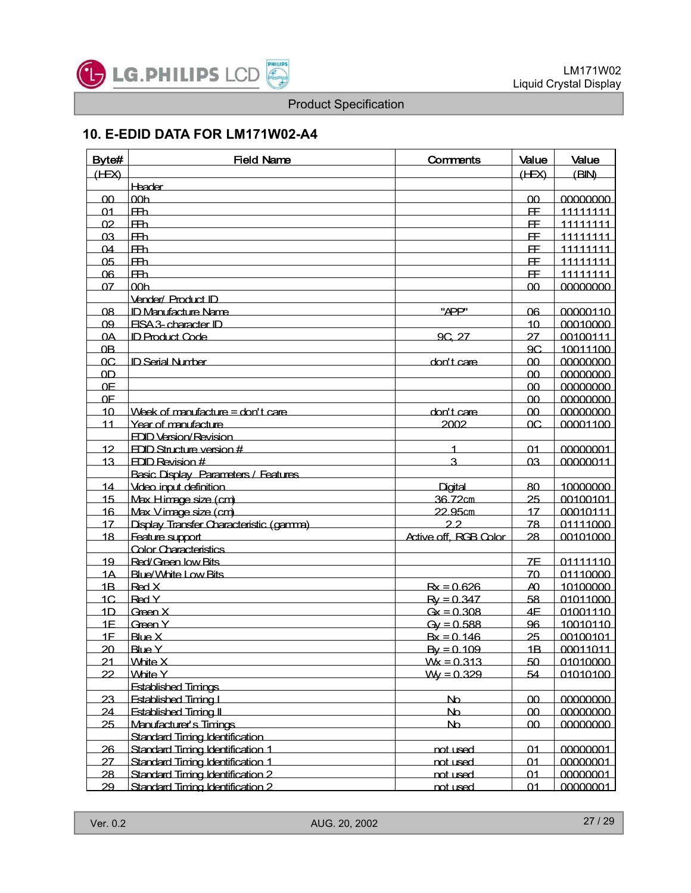

# **10. E-EDID DATA FOR LM171W02-A4**

| Byte#           | <b>Field Name</b>                          | <b>Comments</b>              | Value           | Value           |
|-----------------|--------------------------------------------|------------------------------|-----------------|-----------------|
| (HEX)           |                                            |                              | (HEX)           | (BIN)           |
|                 | <b>Header</b>                              |                              |                 |                 |
| 00              | 00 <sub>h</sub>                            |                              | $00 -$          | 00000000        |
| 01              | F <sub>th</sub>                            |                              | <b>FF</b>       | 11111111        |
| 02              | $F\!H\!D$                                  |                              | Æ.              | 11111111        |
| 03              | <b>FB</b>                                  |                              | Æ.              | <u>11111111</u> |
| $\Omega$ 4      | <b>FB</b>                                  |                              | Æ.              | 11111111        |
| 0 <sub>5</sub>  | <b>FB</b>                                  |                              | <u>FF</u>       | 11111111        |
| 06              | $F\rightarrow$                             |                              | Œ.              | 11111111        |
| 07              | 00 <sub>h</sub>                            |                              | 00 <sub>1</sub> | 00000000        |
|                 | <b>Vender/ Product ID</b>                  |                              |                 |                 |
| 08              | <b>ID Manufacture Name</b>                 | "APP"                        | 06              | 00000110        |
| 09              | <b>FISA 3- character ID</b>                |                              | 10              | 00010000        |
| $\Omega$        | <b>ID Product Code</b>                     | 9C, 27                       | 27              | 00100111        |
| 0B              |                                            |                              | 9C              | 10011100        |
| OC              | <b>ID Serial Number</b>                    | don't care                   | 00              | 00000000        |
| 0 <sub>D</sub>  |                                            |                              | 00              | 00000000        |
| 0 <sup>F</sup>  |                                            |                              | 00              | 00000000        |
| 0 <sup>F</sup>  |                                            |                              | 00              | 00000000        |
| 10 <sup>2</sup> | Week of manufacture = don't care           | don't care                   | 00              | 00000000        |
| 11              | Year of manufacture                        | 2002                         | OC              | 00001100        |
|                 | <b>FDID Version/Revision</b>               |                              |                 |                 |
| 12              | $FDID$ Structure version $#$               | 1                            | 01              | 00000001        |
| 13              | FDID Revision #                            | 3                            | 0 <sub>3</sub>  | 00000011        |
|                 | <b>Basic Display Parameters / Features</b> |                              |                 |                 |
| 14              | Video input definition                     | Digital                      | 80              | 10000000        |
| 15              | Max Himage size (cm)                       | 36.72cm                      | 25              | 00100101        |
| 16              | Max Vimage size (cm)                       | 22 95cm                      | 17              | 00010111        |
| 17              | Display Transfer Characteristic (gamma)    | 22                           | 78              | 01111000        |
| 18              | Feature support                            | <b>Active off, RCB Color</b> | 28              | 00101000        |
|                 | <b>Color Characteristics</b>               |                              |                 |                 |
| 19              | Red/Green low Bits                         |                              | 7E              | 01111110        |
| 1A              | Blue/White Low Bits                        |                              | 70              | 01110000        |
| 1B              | Red X                                      | $Rx = 0.626$                 | $\Delta$        | 10100000        |
| 1C              | Red Y                                      | $Ry = 0.347$                 | 58              | 01011000        |
| 1 <sub>D</sub>  | Green X                                    | $Gx = 0.308$                 | 4F              | 01001110        |
| 1F              | Green Y                                    | $Qy = 0.588$                 | 96              | 10010110        |
| 1F              | Blue X                                     | $Bx = 0.146$                 | 25              | 00100101        |
| 20              | <b>Blue Y</b>                              | $By = 0.109$                 | 1B              | 00011011        |
| 21              | <b>White X</b>                             | $Wk = 0.313$                 | 50              | 01010000        |
| 22              | <b>White Y</b>                             | $W = 0.329$                  | 54              | 01010100        |
|                 | <b>Established Timings</b>                 |                              |                 |                 |
| 23              | <b>Fstablished Timing L</b>                | N <sub>0</sub>               | 00              | 00000000        |
| 24              | <b>Fstablished Timing II</b>               | N <sub>0</sub>               | 00              | 00000000        |
| 25              | Manufacturer's Timings                     | N <sub>0</sub>               | 00              | 00000000        |
|                 | Standard Timing Identification             |                              |                 |                 |
| 26              | Standard Timing Identification 1           | not used                     | 01              | 00000001        |
| 27              | Standard Timing Identification 1           | not used                     | 01              | 00000001        |
| 28              | Standard Timing Identification 2           | not used                     | $\Omega$ 1      | 00000001        |
| 29              | Standard Timing Identification 2           | not used                     | 01              | 00000001        |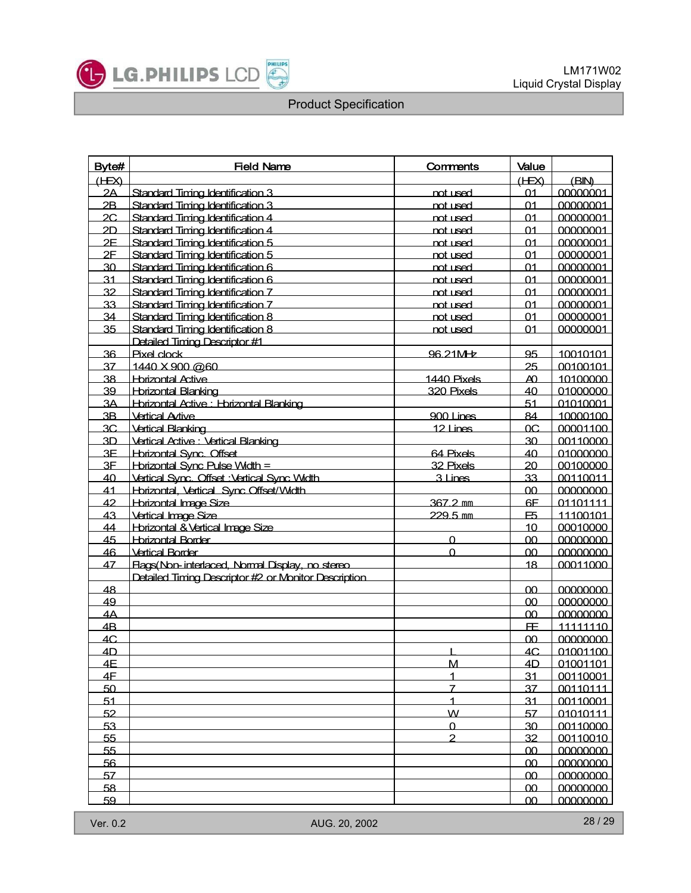

| Byte# | <b>Field Name</b>                                     | Comments        | Value          |          |
|-------|-------------------------------------------------------|-----------------|----------------|----------|
| (HEX) |                                                       |                 | (HEX)          | (BIM)    |
| 2A    | Standard Timing Identification 3                      | <u>not used</u> | 01             | 00000001 |
| 2B    | Standard Timing Identification 3                      | not used        | 01             | 00000001 |
| 2C    | Standard Timing Identification 4                      | not used        | 01             | 00000001 |
| 2D    | Standard Timing Identification 4                      | not used        | 01             | 00000001 |
| 2E    | Standard Timing Identification 5                      | not used        | 01             | 00000001 |
| 2E    | Standard Timing Identification 5                      | not used        | 01             | 00000001 |
| 30    | Standard Timing Identification 6                      | not used        | 01             | 00000001 |
| 31    | Standard Timing Identification 6                      | not used        | $^{\circ}$     | 00000001 |
| 32    | Standard Timing Identification 7                      | not used        | 01             | 00000001 |
| 33    | Standard Timing Identification 7                      | not used        | 01             | 00000001 |
| 34    | Standard Timing Identification 8                      | not used        | 01             | 00000001 |
| 35    | Standard Timing Identification 8                      | not used        | 01             | 00000001 |
|       | Detailed Timing Descriptor #1                         |                 |                |          |
| 36    | Pixel clock                                           | 96.21MHz        | 95             | 10010101 |
| 37    | 1440 X 900 @60                                        |                 | 25             | 00100101 |
| 38    | <b>Hbrizontal Active</b>                              | 1440 Pixels     | AO.            | 10100000 |
| 39    | <b>Horizontal Blanking</b>                            | 320 Pixels      | 40             | 01000000 |
| 3A    | Horizontal Active : Horizontal Blanking               |                 | 51             | 01010001 |
| 3B    | <b>Vertical Avtive</b>                                | $900$ I ines    | 84             | 10000100 |
| 3C    | <b>Vertical Blanking</b>                              | 12 Lines        | OC             | 00001100 |
| 3D    | Vertical Active : Vertical Blanking                   |                 | 30             | 00110000 |
| 3E    | Horizontal Sync. Offset                               | 64 Pixels       | 40             | 01000000 |
| 3E    | Horizontal Sync Pulse Width =                         | 32 Pixels       | 20             | 00100000 |
| 40    | Vertical Sync. Offset : Vertical Sync Width.          | 3 Lines         | 33             | 00110011 |
| 41    | Horizontal, Vertical Sync Offset/Width                |                 | 00             | 00000000 |
| 42    | Horizontal Image Size                                 | 367.2 mm        | 6F             | 01101111 |
| 43    | <b>Vertical Image Size</b>                            | 229.5 mm        | F <sub>5</sub> | 11100101 |
| 44    | Horizontal & Vertical Image Size                      |                 | 10             | 00010000 |
| 45    | <b>Horizontal Border</b>                              | <sup>0</sup>    | 0 <sub>0</sub> | 00000000 |
| 46    | <b>Vertical Border</b>                                | $\Omega$        | 0 <sub>0</sub> | 00000000 |
| 47    | Flags(Non-interlaced, Normal Display, no stereo.      |                 | 18             | 00011000 |
|       | Detailed Timing Descriptor #2 or Monitor Description. |                 |                |          |
| 48    |                                                       |                 | <u>00</u>      | 00000000 |
| 49    |                                                       |                 | 00             | 00000000 |
| 4A    |                                                       |                 | 00             | 00000000 |
| 4B    |                                                       |                 | <b>FE</b>      | 11111110 |
| AC    |                                                       |                 | 00             | 00000000 |
| 4D    |                                                       |                 | AC             | 01001100 |
| 4E    |                                                       | M               | 4D             | 01001101 |
| 4F    |                                                       | 1               | 31             | 00110001 |
| 50    |                                                       | $\overline{7}$  | 37             | 00110111 |
| 51    |                                                       | $\overline{1}$  | 31             | 00110001 |
| 52    |                                                       | W.              | 57             | 01010111 |
| 53    |                                                       | $\Omega$        | 30             | 00110000 |
| 55    |                                                       | $\overline{2}$  | 32             | 00110010 |
| 55    |                                                       |                 | 00             | 00000000 |
| 56    |                                                       |                 | 0 <sub>0</sub> | 00000000 |
| 57    |                                                       |                 | 00             | 00000000 |
| 58    |                                                       |                 | 00             | 00000000 |
| 59    |                                                       |                 | 00             | 00000000 |